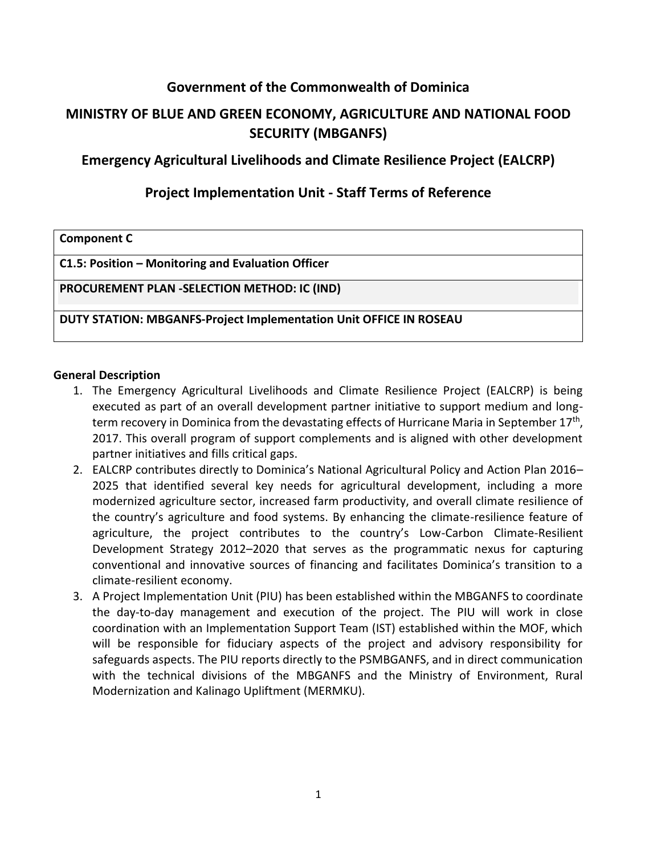## **Government of the Commonwealth of Dominica**

# **MINISTRY OF BLUE AND GREEN ECONOMY, AGRICULTURE AND NATIONAL FOOD SECURITY (MBGANFS)**

### **Emergency Agricultural Livelihoods and Climate Resilience Project (EALCRP)**

### **Project Implementation Unit - Staff Terms of Reference**

| <b>Component C</b> |  |
|--------------------|--|
|--------------------|--|

**C1.5: Position – Monitoring and Evaluation Officer**

**PROCUREMENT PLAN -SELECTION METHOD: IC (IND)**

**DUTY STATION: MBGANFS-Project Implementation Unit OFFICE IN ROSEAU**

#### **General Description**

- 1. The Emergency Agricultural Livelihoods and Climate Resilience Project (EALCRP) is being executed as part of an overall development partner initiative to support medium and longterm recovery in Dominica from the devastating effects of Hurricane Maria in September 17<sup>th</sup>, 2017. This overall program of support complements and is aligned with other development partner initiatives and fills critical gaps.
- 2. EALCRP contributes directly to Dominica's National Agricultural Policy and Action Plan 2016– 2025 that identified several key needs for agricultural development, including a more modernized agriculture sector, increased farm productivity, and overall climate resilience of the country's agriculture and food systems. By enhancing the climate-resilience feature of agriculture, the project contributes to the country's Low-Carbon Climate-Resilient Development Strategy 2012–2020 that serves as the programmatic nexus for capturing conventional and innovative sources of financing and facilitates Dominica's transition to a climate-resilient economy.
- 3. A Project Implementation Unit (PIU) has been established within the MBGANFS to coordinate the day-to-day management and execution of the project. The PIU will work in close coordination with an Implementation Support Team (IST) established within the MOF, which will be responsible for fiduciary aspects of the project and advisory responsibility for safeguards aspects. The PIU reports directly to the PSMBGANFS, and in direct communication with the technical divisions of the MBGANFS and the Ministry of Environment, Rural Modernization and Kalinago Upliftment (MERMKU).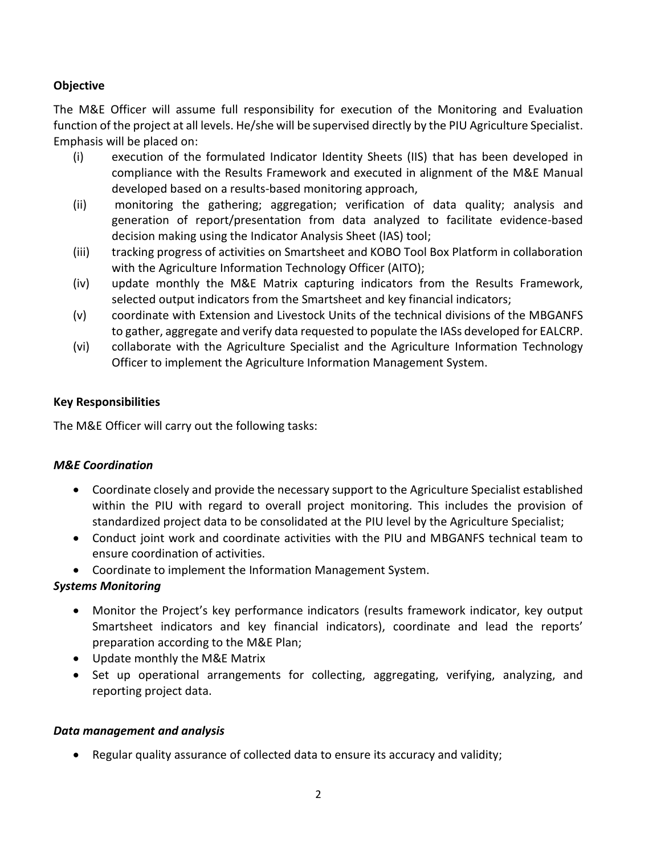### **Objective**

The M&E Officer will assume full responsibility for execution of the Monitoring and Evaluation function of the project at all levels. He/she will be supervised directly by the PIU Agriculture Specialist. Emphasis will be placed on:

- (i) execution of the formulated Indicator Identity Sheets (IIS) that has been developed in compliance with the Results Framework and executed in alignment of the M&E Manual developed based on a results-based monitoring approach,
- (ii) monitoring the gathering; aggregation; verification of data quality; analysis and generation of report/presentation from data analyzed to facilitate evidence-based decision making using the Indicator Analysis Sheet (IAS) tool;
- (iii) tracking progress of activities on Smartsheet and KOBO Tool Box Platform in collaboration with the Agriculture Information Technology Officer (AITO);
- (iv) update monthly the M&E Matrix capturing indicators from the Results Framework, selected output indicators from the Smartsheet and key financial indicators;
- (v) coordinate with Extension and Livestock Units of the technical divisions of the MBGANFS to gather, aggregate and verify data requested to populate the IASs developed for EALCRP.
- (vi) collaborate with the Agriculture Specialist and the Agriculture Information Technology Officer to implement the Agriculture Information Management System.

#### **Key Responsibilities**

The M&E Officer will carry out the following tasks:

#### *M&E Coordination*

- Coordinate closely and provide the necessary support to the Agriculture Specialist established within the PIU with regard to overall project monitoring. This includes the provision of standardized project data to be consolidated at the PIU level by the Agriculture Specialist;
- Conduct joint work and coordinate activities with the PIU and MBGANFS technical team to ensure coordination of activities.
- Coordinate to implement the Information Management System.

#### *Systems Monitoring*

- Monitor the Project's key performance indicators (results framework indicator, key output Smartsheet indicators and key financial indicators), coordinate and lead the reports' preparation according to the M&E Plan;
- Update monthly the M&E Matrix
- Set up operational arrangements for collecting, aggregating, verifying, analyzing, and reporting project data.

#### *Data management and analysis*

• Regular quality assurance of collected data to ensure its accuracy and validity;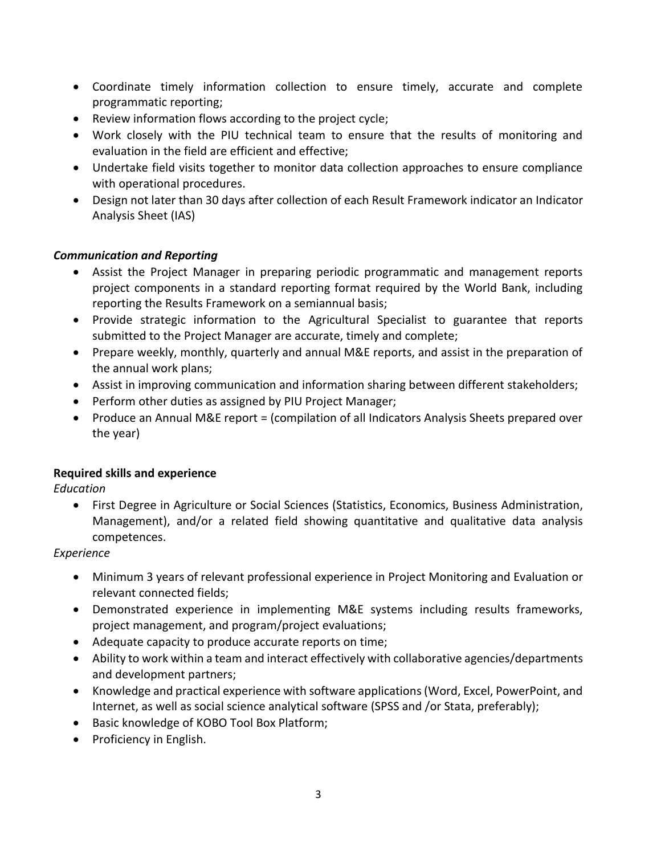- Coordinate timely information collection to ensure timely, accurate and complete programmatic reporting;
- Review information flows according to the project cycle;
- Work closely with the PIU technical team to ensure that the results of monitoring and evaluation in the field are efficient and effective;
- Undertake field visits together to monitor data collection approaches to ensure compliance with operational procedures.
- Design not later than 30 days after collection of each Result Framework indicator an Indicator Analysis Sheet (IAS)

#### *Communication and Reporting*

- Assist the Project Manager in preparing periodic programmatic and management reports project components in a standard reporting format required by the World Bank, including reporting the Results Framework on a semiannual basis;
- Provide strategic information to the Agricultural Specialist to guarantee that reports submitted to the Project Manager are accurate, timely and complete;
- Prepare weekly, monthly, quarterly and annual M&E reports, and assist in the preparation of the annual work plans;
- Assist in improving communication and information sharing between different stakeholders;
- Perform other duties as assigned by PIU Project Manager;
- Produce an Annual M&E report = (compilation of all Indicators Analysis Sheets prepared over the year)

#### **Required skills and experience**

*Education*

• First Degree in Agriculture or Social Sciences (Statistics, Economics, Business Administration, Management), and/or a related field showing quantitative and qualitative data analysis competences.

*Experience*

- Minimum 3 years of relevant professional experience in Project Monitoring and Evaluation or relevant connected fields;
- Demonstrated experience in implementing M&E systems including results frameworks, project management, and program/project evaluations;
- Adequate capacity to produce accurate reports on time;
- Ability to work within a team and interact effectively with collaborative agencies/departments and development partners;
- Knowledge and practical experience with software applications (Word, Excel, PowerPoint, and Internet, as well as social science analytical software (SPSS and /or Stata, preferably);
- Basic knowledge of KOBO Tool Box Platform;
- Proficiency in English.